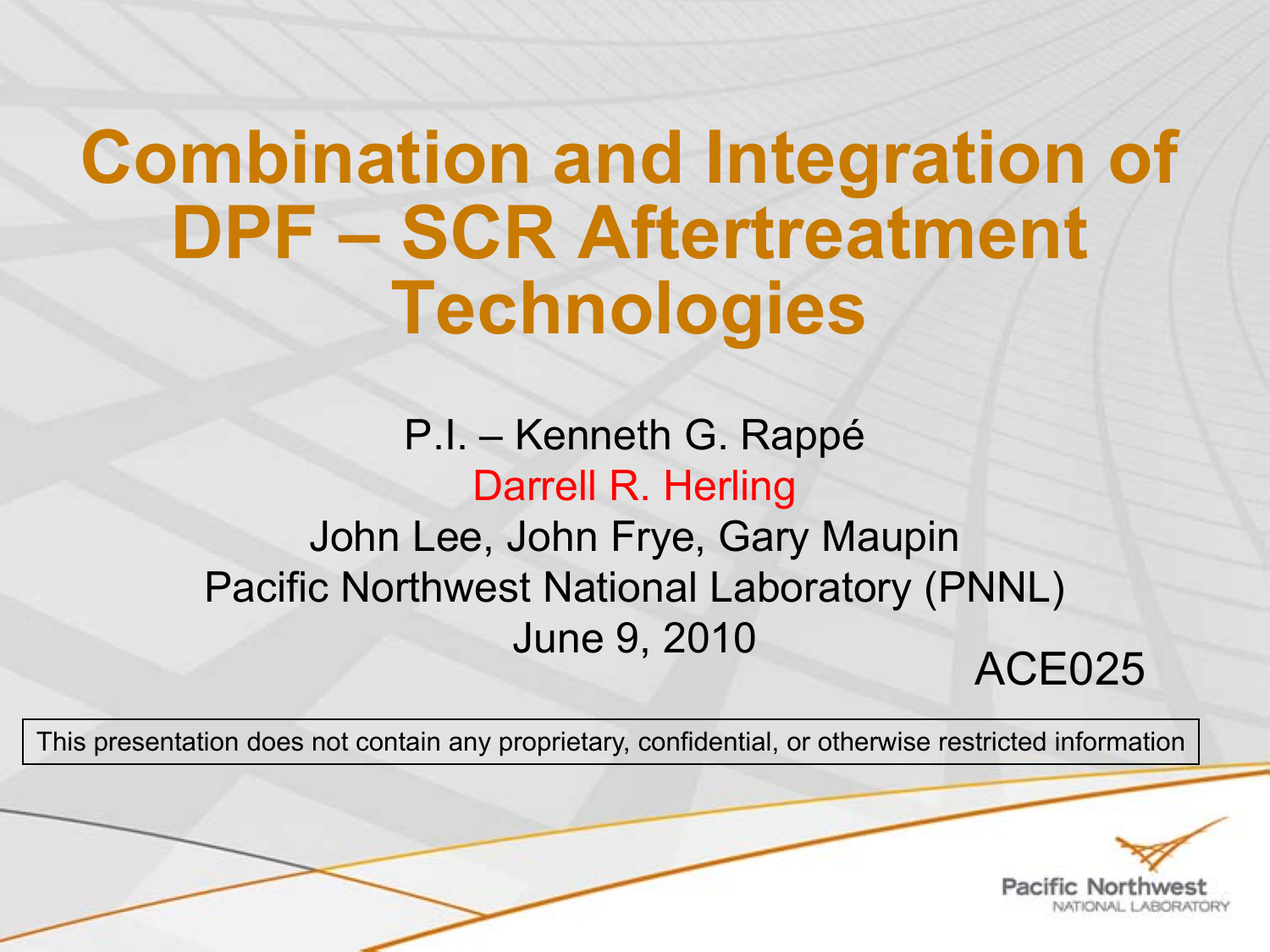# **Combination and Integration of DPF – SCR Aftertreatment Technologies**

### P.I. – Kenneth G. Rappé Darrell R. Herling John Lee, John Frye, Gary Maupin Pacific Northwest National Laboratory (PNNL) June 9, 2010 ACE025

This presentation does not contain any proprietary, confidential, or otherwise restricted information

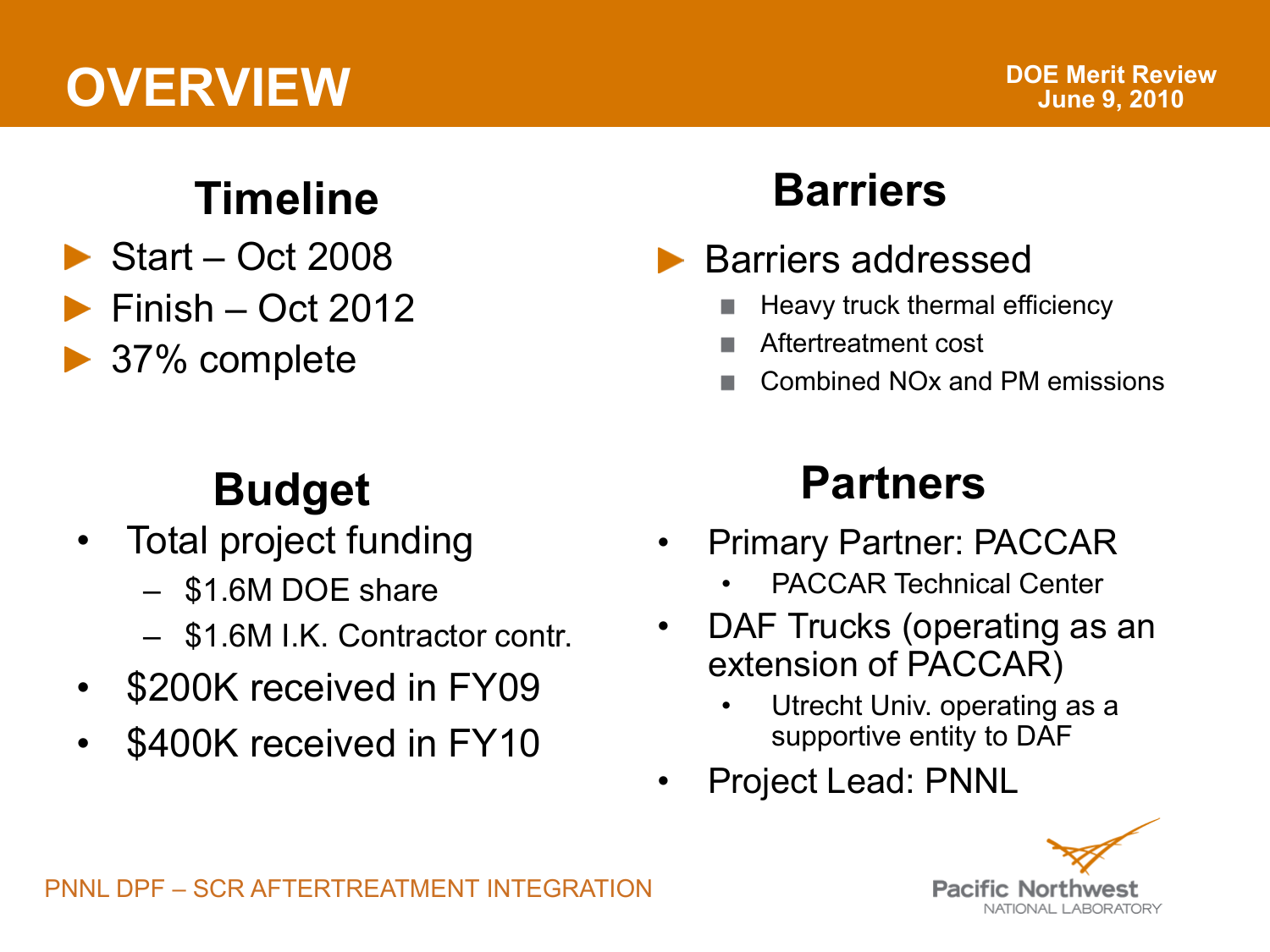## **OVERVIEW**

### **Timeline**

- $\triangleright$  Start Oct 2008
- $\blacktriangleright$  Finish Oct 2012
- **▶ 37% complete**

### **Budget**

- Total project funding
	- \$1.6M DOE share
	- \$1.6M I.K. Contractor contr.
- \$200K received in FY09
- \$400K received in FY10

### **Barriers**

- **Barriers addressed** 
	- Heavy truck thermal efficiency
	- Aftertreatment cost
	- Combined NOx and PM emissions

### **Partners**

- Primary Partner: PACCAR
	- PACCAR Technical Center
- DAF Trucks (operating as an extension of PACCAR)
	- Utrecht Univ. operating as a supportive entity to DAF
- Project Lead: PNNL

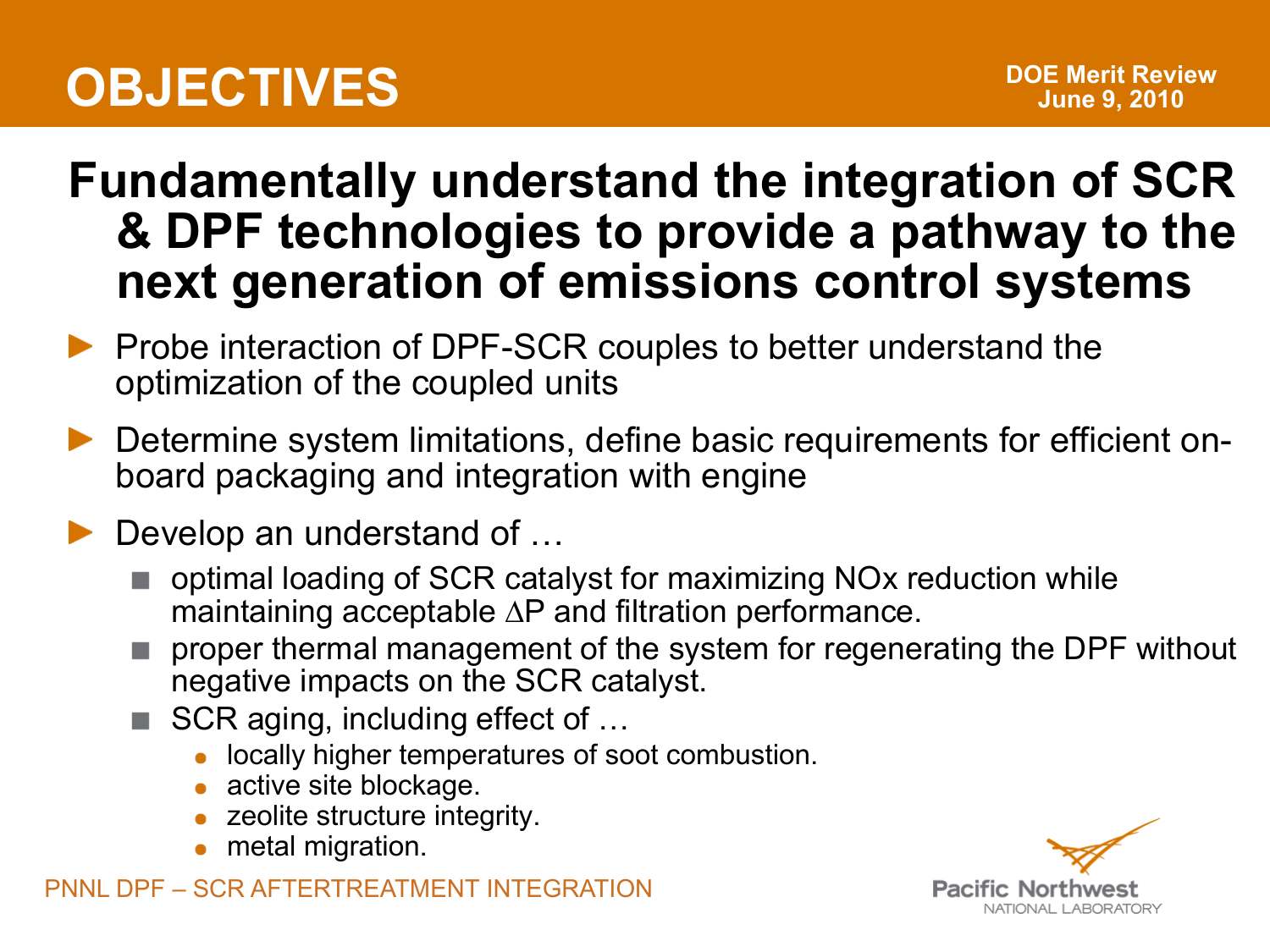## **OBJECTIVES**

### **Fundamentally understand the integration of SCR & DPF technologies to provide a pathway to the next generation of emissions control systems**

- **Probe interaction of DPF-SCR couples to better understand the** optimization of the coupled units
- Determine system limitations, define basic requirements for efficient onboard packaging and integration with engine
- Develop an understand of …
	- optimal loading of SCR catalyst for maximizing NOx reduction while maintaining acceptable ∆P and filtration performance.
	- proper thermal management of the system for regenerating the DPF without negative impacts on the SCR catalyst.
	- SCR aging, including effect of ...
		- **.** locally higher temperatures of soot combustion.
		- active site blockage.
		- zeolite structure integrity.
		- metal migration.

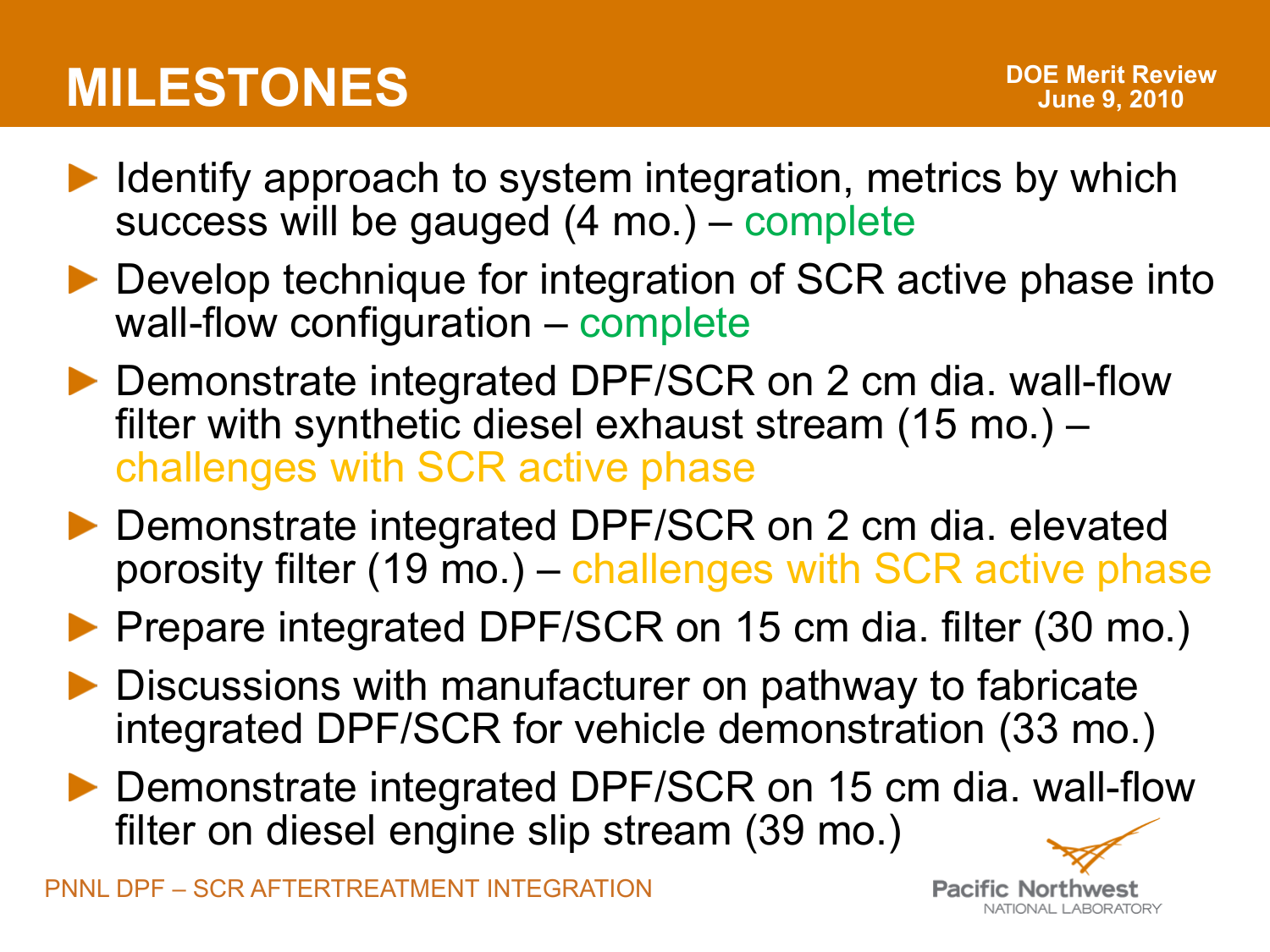- $\blacktriangleright$  Identify approach to system integration, metrics by which success will be gauged (4 mo.) – complete
- ▶ Develop technique for integration of SCR active phase into wall-flow configuration – complete
- ▶ Demonstrate integrated DPF/SCR on 2 cm dia. wall-flow filter with synthetic diesel exhaust stream (15 mo.) – challenges with SCR active phase
- ▶ Demonstrate integrated DPF/SCR on 2 cm dia. elevated porosity filter (19 mo.) – challenges with SCR active phase
- **Prepare integrated DPF/SCR on 15 cm dia. filter (30 mo.)**
- Discussions with manufacturer on pathway to fabricate integrated DPF/SCR for vehicle demonstration (33 mo.)
- ▶ Demonstrate integrated DPF/SCR on 15 cm dia. wall-flow filter on diesel engine slip stream (39 mo.)

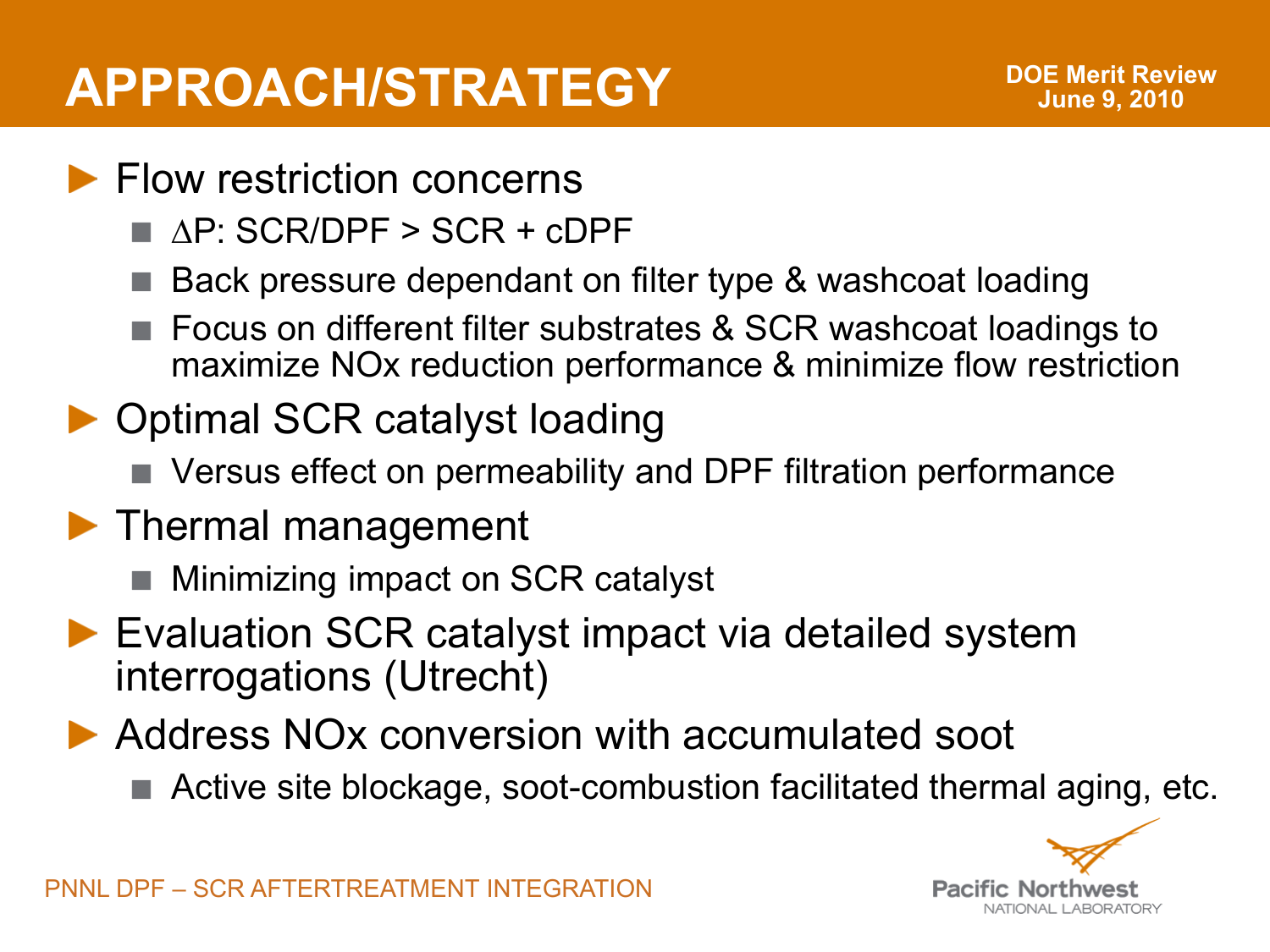### **APPROACH/STRATEGY**

#### **Flow restriction concerns**

- ∆P: SCR/DPF > SCR + cDPF
- Back pressure dependant on filter type & washcoat loading
- Focus on different filter substrates & SCR washcoat loadings to maximize NOx reduction performance & minimize flow restriction
- ▶ Optimal SCR catalyst loading
	- Versus effect on permeability and DPF filtration performance
- **Thermal management** 
	- Minimizing impact on SCR catalyst
- ▶ Evaluation SCR catalyst impact via detailed system interrogations (Utrecht)
- ▶ Address NOx conversion with accumulated soot
	- Active site blockage, soot-combustion facilitated thermal aging, etc.

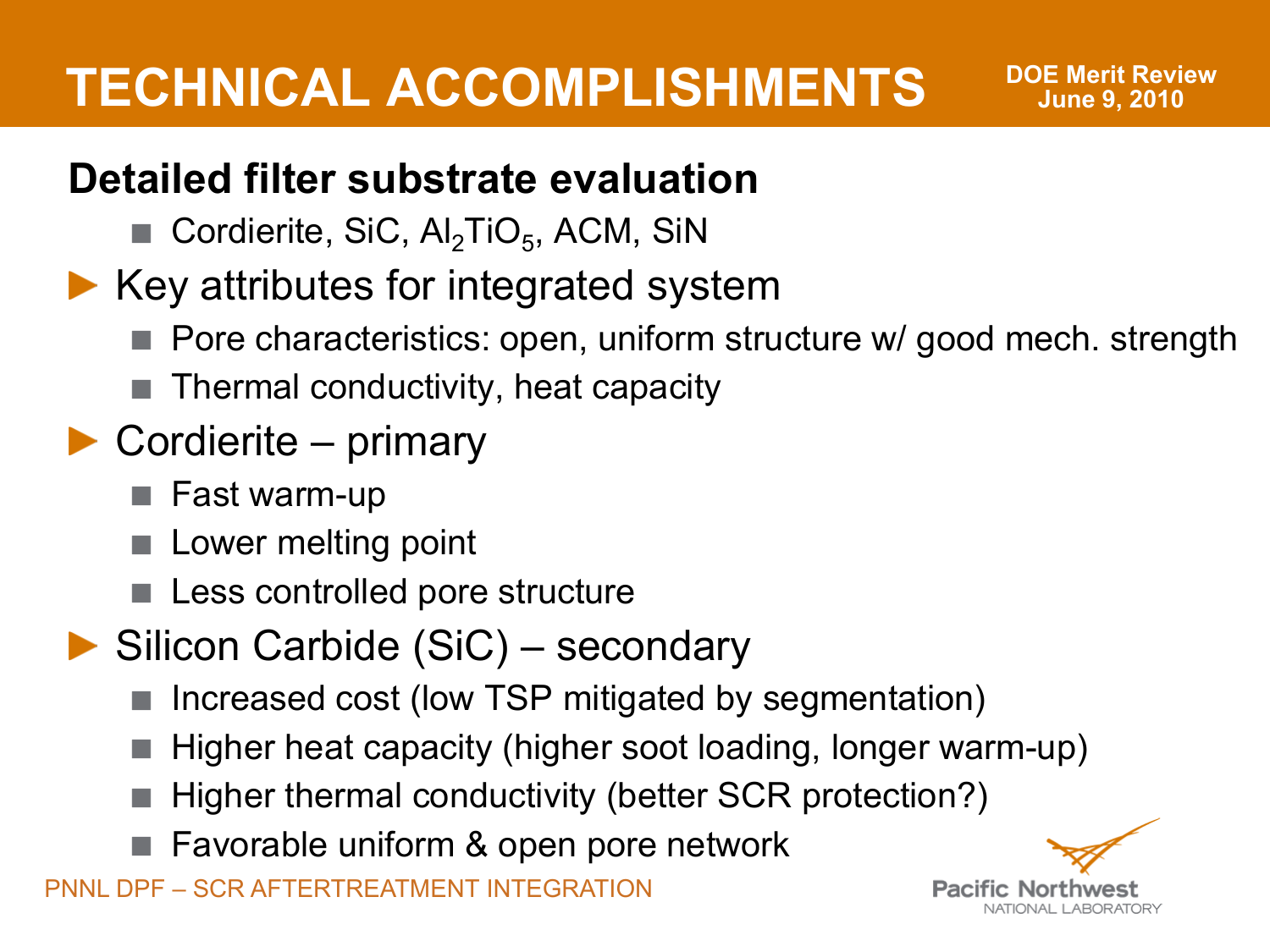#### **Detailed filter substrate evaluation**

- Cordierite, SiC,  $\mathsf{Al}_2\mathsf{TiO}_5$ , ACM, SiN
- $\blacktriangleright$  Key attributes for integrated system
	- Pore characteristics: open, uniform structure w/ good mech. strength
	- Thermal conductivity, heat capacity

### ▶ Cordierite – primary

- Fast warm-up
- Lower melting point
- Less controlled pore structure
- ▶ Silicon Carbide (SiC) secondary
	- Increased cost (low TSP mitigated by segmentation)
	- Higher heat capacity (higher soot loading, longer warm-up)
	- Higher thermal conductivity (better SCR protection?)
	- Favorable uniform & open pore network

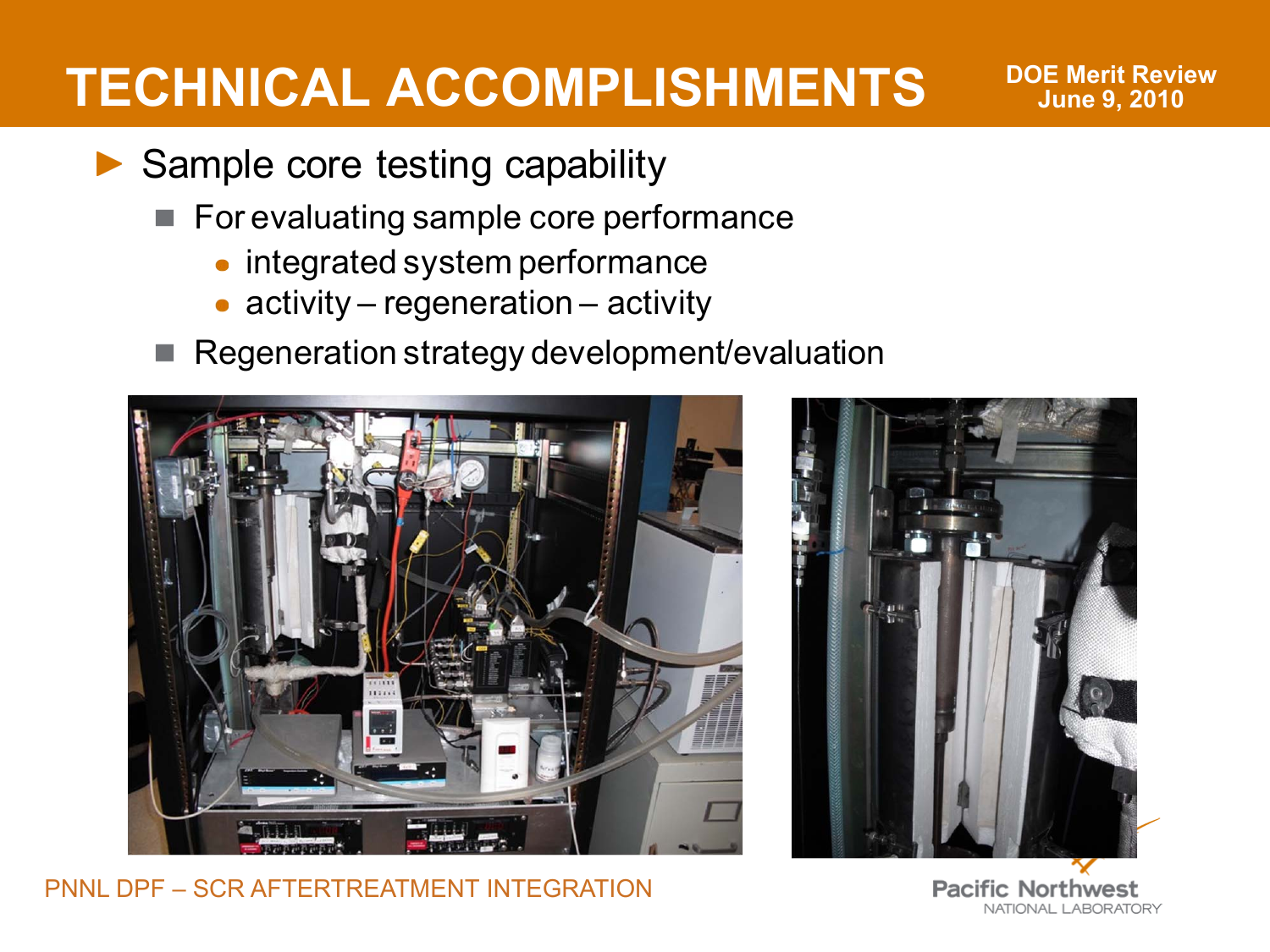- Sample core testing capability
	- For evaluating sample core performance
		- integrated system performance
		- activity regeneration activity
	- Regeneration strategy development/evaluation







**Pacific Northwest** NATIONAL LABORATORY

**DOE Merit Review June 9, 2010**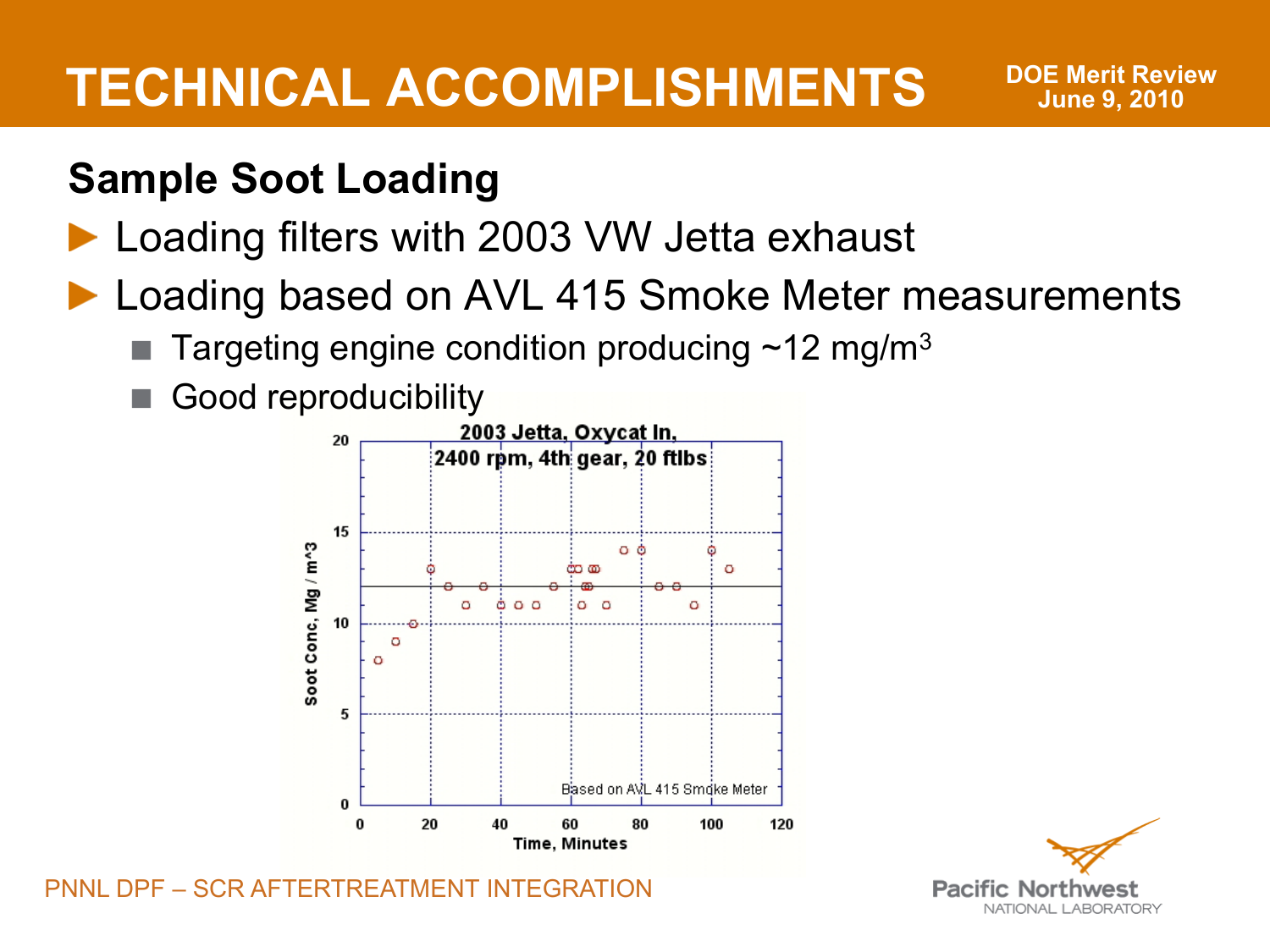**DOE Merit Review June 9, 2010**

#### **Sample Soot Loading**

#### ▶ Loading filters with 2003 VW Jetta exhaust

- ▶ Loading based on AVL 415 Smoke Meter measurements
	- Targeting engine condition producing  $\sim$ 12 mg/m<sup>3</sup>
	- Good reproducibility



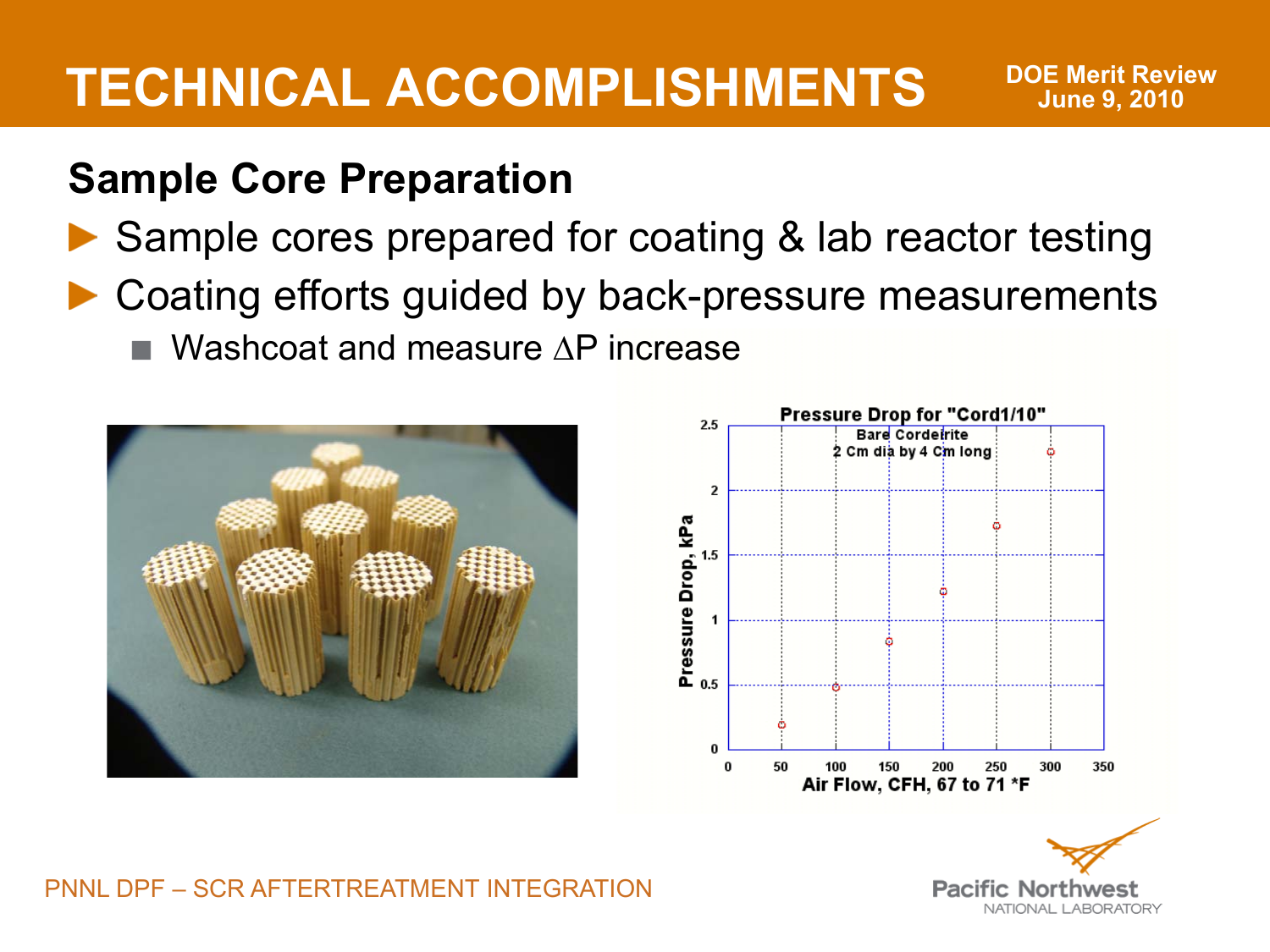**DOE Merit Review June 9, 2010**

#### **Sample Core Preparation**

- ▶ Sample cores prepared for coating & lab reactor testing
- ▶ Coating efforts guided by back-pressure measurements
	- Washcoat and measure ∆P increase





PNNL DPF – SCR AFTERTREATMENT INTEGRATION

**Pacific No** NATIONAL LABORATORY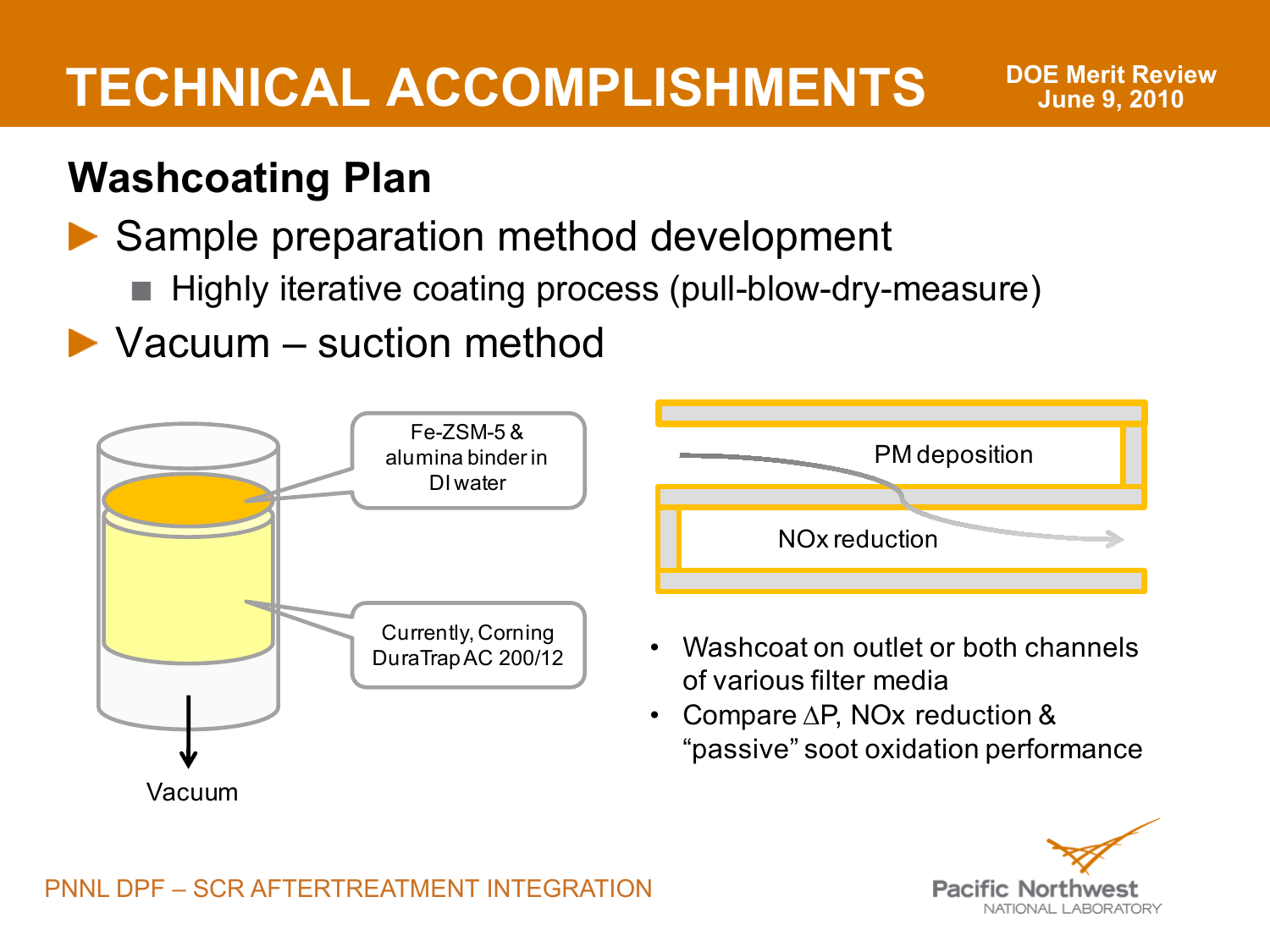**DOE Merit Review June 9, 2010**

#### **Washcoating Plan**

#### ▶ Sample preparation method development

- Highly iterative coating process (pull-blow-dry-measure)
- ▶ Vacuum suction method



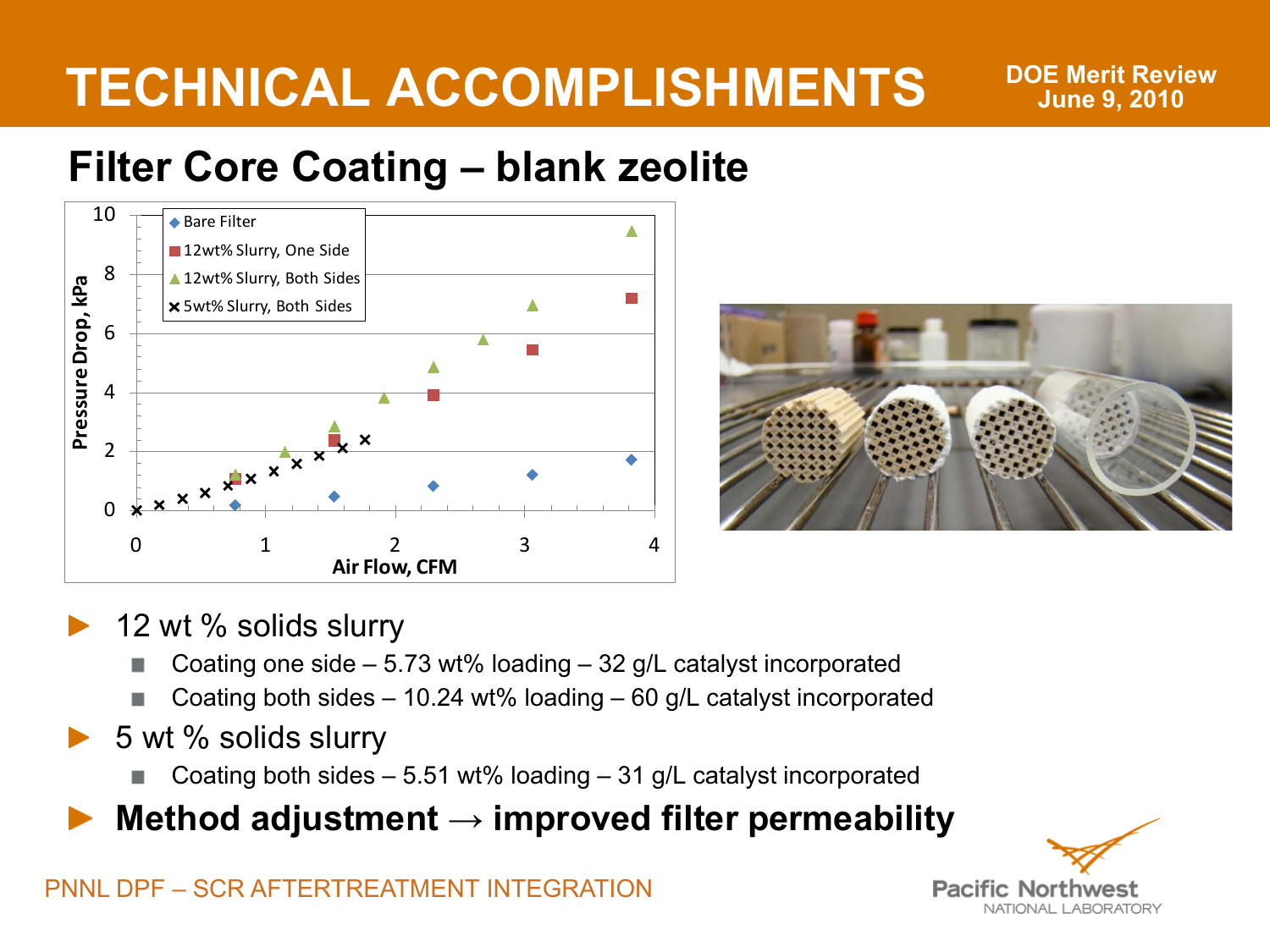**DOE Merit Review June 9, 2010**

#### **Filter Core Coating – blank zeolite**





- 12 wt % solids slurry
	- Coating one side 5.73 wt% loading 32 g/L catalyst incorporated
	- Coating both sides 10.24 wt% loading 60 g/L catalyst incorporated
- 5 wt % solids slurry
	- Coating both sides 5.51 wt% loading 31 g/L catalyst incorporated

**Method adjustment → improved filter permeability**

**Pacific Nor** NATIONAL LABORATORY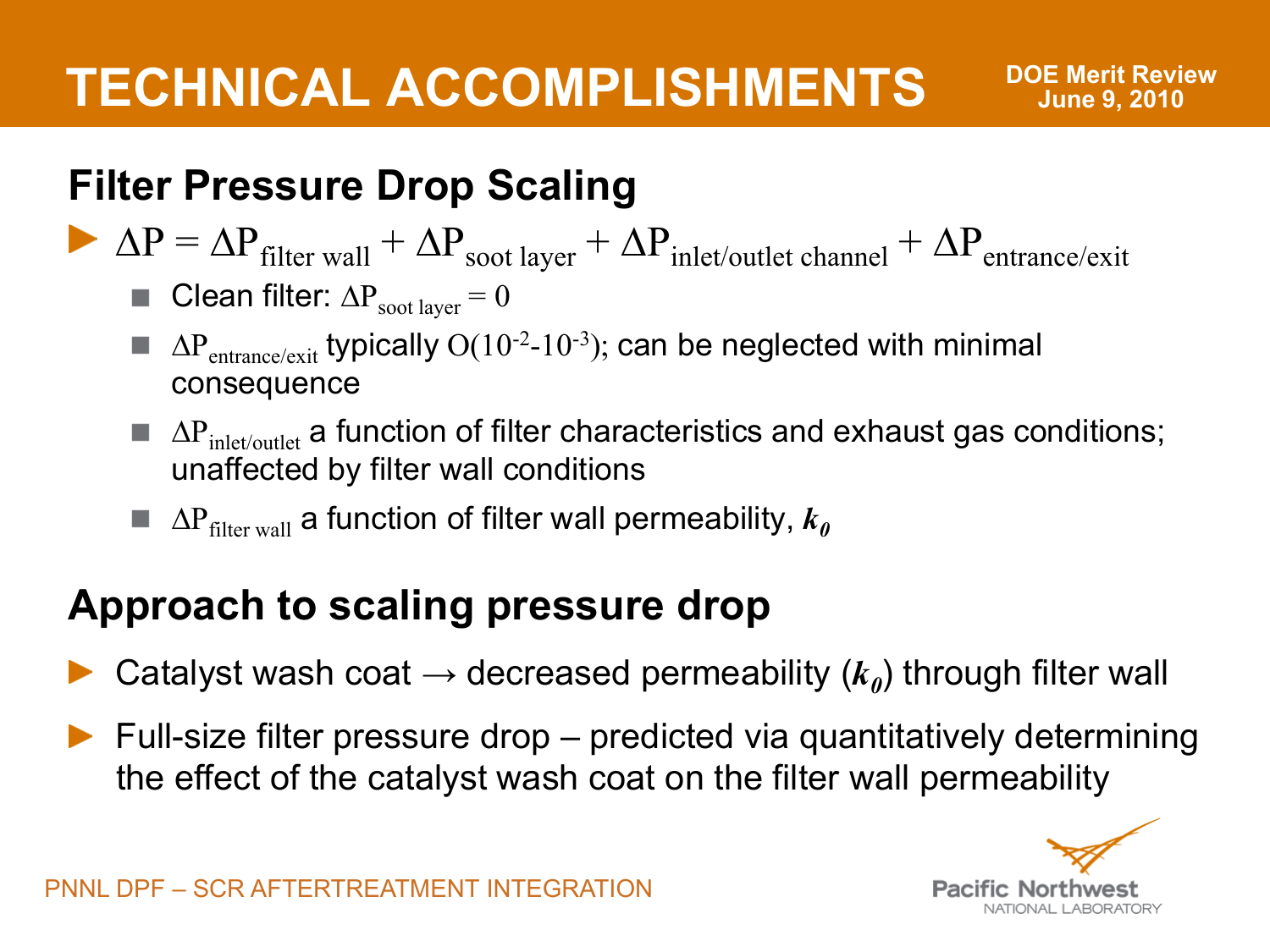#### **Filter Pressure Drop Scaling**

- $\Delta P = \Delta P_{\text{filter wall}} + \Delta P_{\text{soot layer}} + \Delta P_{\text{inlet/outlet channel}} + \Delta P_{\text{entrance/exit}}$ 
	- **Clean filter:**  $\Delta P_{\text{soot layer}} = 0$
	- $\blacksquare$   $\Delta P_{entrance/exit}$  typically  $O(10^{-2}-10^{-3})$ ; can be neglected with minimal consequence
	- $\blacksquare$   $\Delta P_{\text{inlet/outlet}}$  a function of filter characteristics and exhaust gas conditions; unaffected by filter wall conditions
	- $\blacksquare$   $\Delta P_{\text{filter wall}}$  a function of filter wall permeability,  $k_0$

#### **Approach to scaling pressure drop**

- Catalyst wash coat  $\rightarrow$  decreased permeability  $(k_0)$  through filter wall
- $\blacktriangleright$  Full-size filter pressure drop predicted via quantitatively determining the effect of the catalyst wash coat on the filter wall permeability

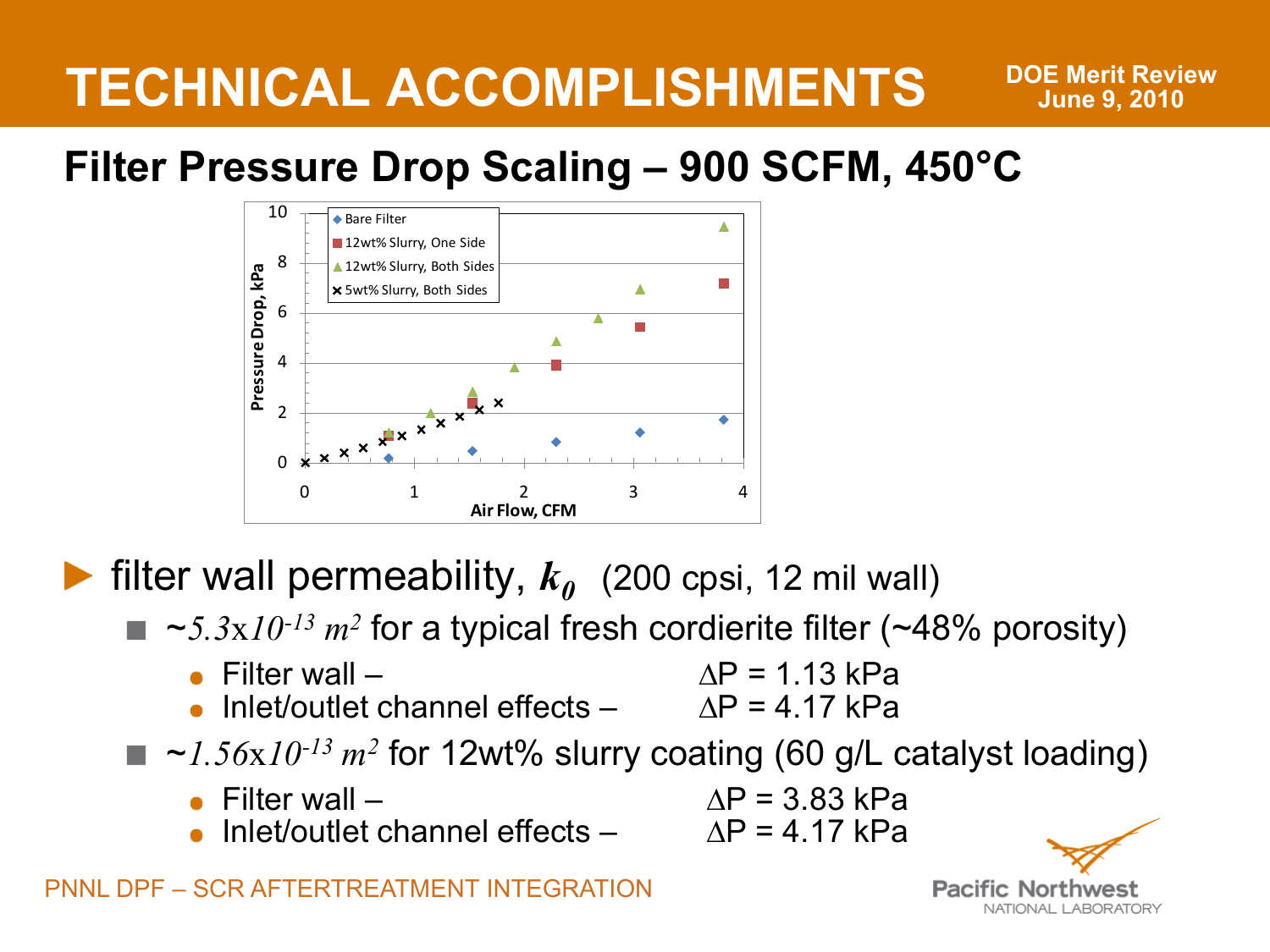#### **Filter Pressure Drop Scaling – 900 SCFM, 450°C**



**Filter wall permeability,**  $k_0$  (200 cpsi, 12 mil wall)

- $\blacksquare$   $\sim$  5.3x10<sup>-13</sup>  $m^2$  for a typical fresh cordierite filter (~48% porosity)
	- Filter wall  $\Delta P = 1.13$  kPa<br>
	Inlet/outlet channel effects  $\Delta P = 4.17$  kPa
		- Inlet/outlet channel effects  $-$
	- $\sim$ 1.56x10<sup>-13</sup> m<sup>2</sup> for 12wt% slurry coating (60 g/L catalyst loading)
		- Filter wall  $\Delta P = 3.83$  kPa<br>• Inlet/outlet channel effects  $\Delta P = 4.17$  kPa
		- Inlet/outlet channel effects –

**Pacific Nor** NATIONAL LARORATORY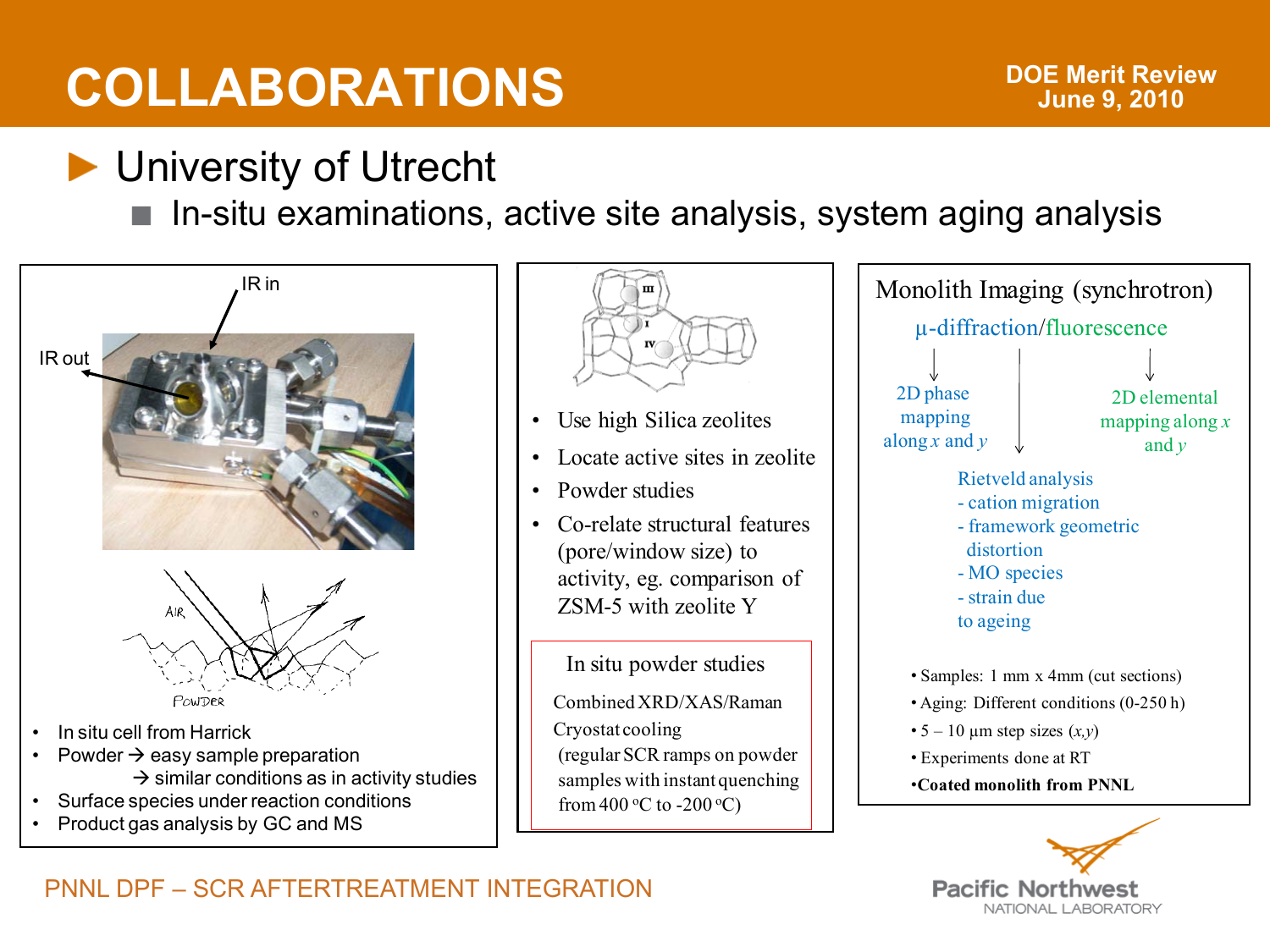## **COLLABORATIONS**

### **D** University of Utrecht

In-situ examinations, active site analysis, system aging analysis





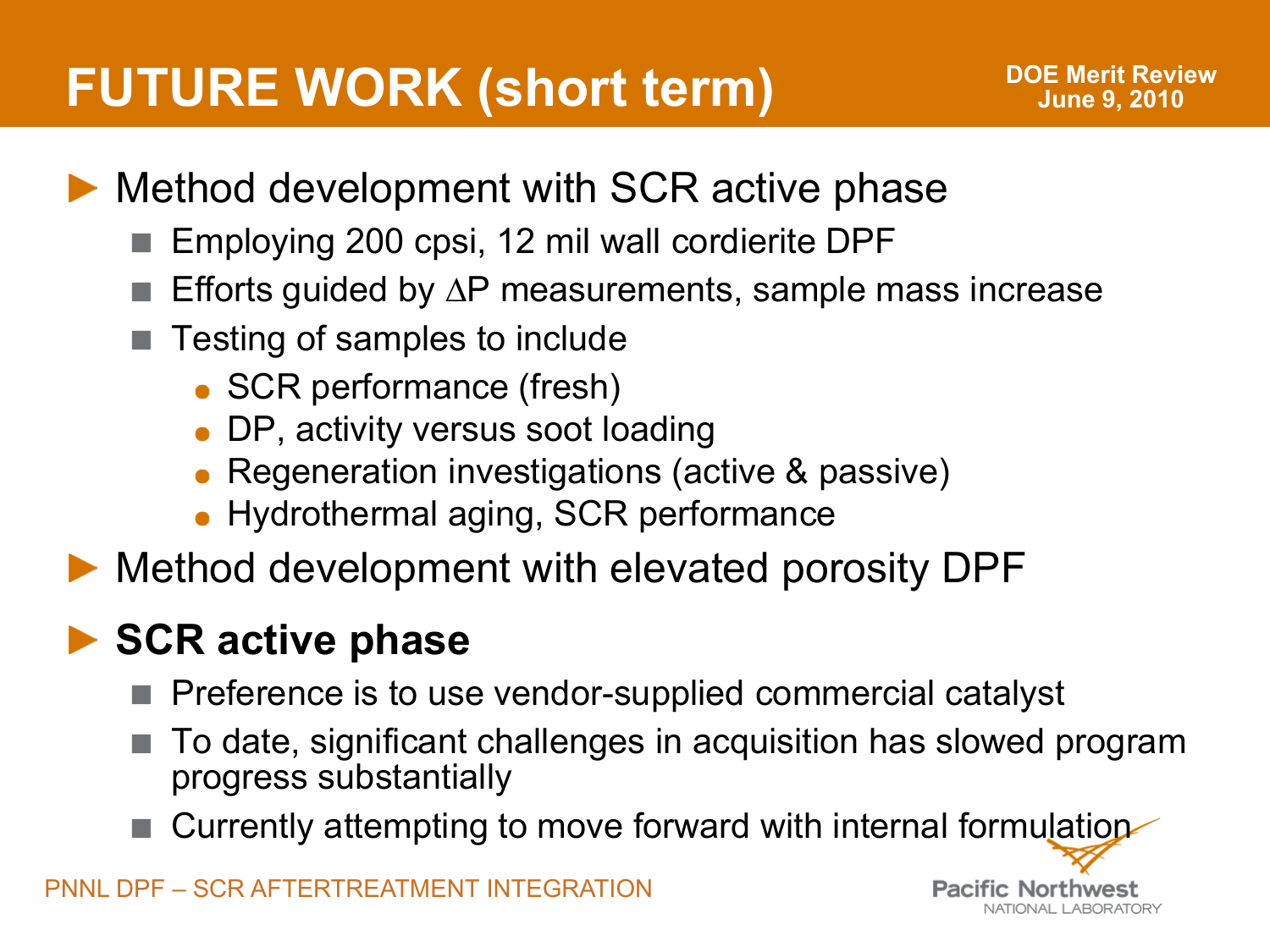## **FUTURE WORK (short term)**

**Pacific Northwest** 

NATIONAL LARORATORY

- Method development with SCR active phase
	- Employing 200 cpsi, 12 mil wall cordierite DPF
	- Efforts guided by ∆P measurements, sample mass increase
	- Testing of samples to include
		- SCR performance (fresh)
		- DP, activity versus soot loading
		- Regeneration investigations (active & passive)
		- Hydrothermal aging, SCR performance
- Method development with elevated porosity DPF

### **▶ SCR active phase**

- Preference is to use vendor-supplied commercial catalyst
- To date, significant challenges in acquisition has slowed program progress substantially
- Currently attempting to move forward with internal formulation